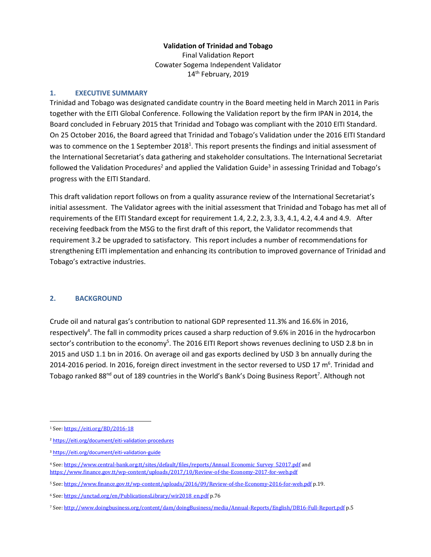#### **Validation of Trinidad and Tobago**

Final Validation Report Cowater Sogema Independent Validator 14<sup>th</sup> February, 2019

#### **1. EXECUTIVE SUMMARY**

Trinidad and Tobago was designated candidate country in the Board meeting held in March 2011 in Paris together with the EITI Global Conference. Following the Validation report by the firm IPAN in 2014, the Board concluded in February 2015 that Trinidad and Tobago was compliant with the 2010 EITI Standard. On 25 October 2016, the Board agreed that Trinidad and Tobago's Validation under the 2016 EITI Standard was to commence on the 1 September 2018<sup>1</sup>. This report presents the findings and initial assessment of the International Secretariat's data gathering and stakeholder consultations. The International Secretariat followed the Validation Procedures<sup>2</sup> and applied the Validation Guide<sup>3</sup> in assessing Trinidad and Tobago's progress with the EITI Standard.

This draft validation report follows on from a quality assurance review of the International Secretariat's initial assessment. The Validator agrees with the initial assessment that Trinidad and Tobago has met all of requirements of the EITI Standard except for requirement 1.4, 2.2, 2.3, 3.3, 4.1, 4.2, 4.4 and 4.9. After receiving feedback from the MSG to the first draft of this report, the Validator recommends that requirement 3.2 be upgraded to satisfactory. This report includes a number of recommendations for strengthening EITI implementation and enhancing its contribution to improved governance of Trinidad and Tobago's extractive industries.

#### **2. BACKGROUND**

Crude oil and natural gas's contribution to national GDP represented 11.3% and 16.6% in 2016, respectively<sup>4</sup>. The fall in commodity prices caused a sharp reduction of 9.6% in 2016 in the hydrocarbon sector's contribution to the economy<sup>5</sup>. The 2016 EITI Report shows revenues declining to USD 2.8 bn in 2015 and USD 1.1 bn in 2016. On average oil and gas exports declined by USD 3 bn annually during the 2014-2016 period. In 2016, foreign direct investment in the sector reversed to USD 17  $m<sup>6</sup>$ . Trinidad and Tobago ranked 88<sup>nd</sup> out of 189 countries in the World's Bank's Doing Business Report<sup>7</sup>. Although not

 $\overline{a}$ <sup>1</sup> See[: https://eiti.org/BD/2016-18](https://eiti.org/BD/2016-18)

<sup>2</sup> <https://eiti.org/document/eiti-validation-procedures>

<sup>3</sup> <https://eiti.org/document/eiti-validation-guide>

<sup>4</sup> See[: https://www.central-bank.org.tt/sites/default/files/reports/Annual\\_Economic\\_Survey\\_52017.pdf](https://www.central-bank.org.tt/sites/default/files/reports/Annual_Economic_Survey_52017.pdf) and <https://www.finance.gov.tt/wp-content/uploads/2017/10/Review-of-the-Economy-2017-for-web.pdf>

<sup>5</sup> See[: https://www.finance.gov.tt/wp-content/uploads/2016/09/Review-of-the-Economy-2016-for-web.pdf](https://www.finance.gov.tt/wp-content/uploads/2016/09/Review-of-the-Economy-2016-for-web.pdf) p.19.

<sup>6</sup> See[: https://unctad.org/en/PublicationsLibrary/wir2018\\_en.pdf](https://unctad.org/en/PublicationsLibrary/wir2018_en.pdf) p.76

<sup>7</sup> See[: http://www.doingbusiness.org/content/dam/doingBusiness/media/Annual-Reports/English/DB16-Full-Report.pdf](http://www.doingbusiness.org/content/dam/doingBusiness/media/Annual-Reports/English/DB16-Full-Report.pdf) p.5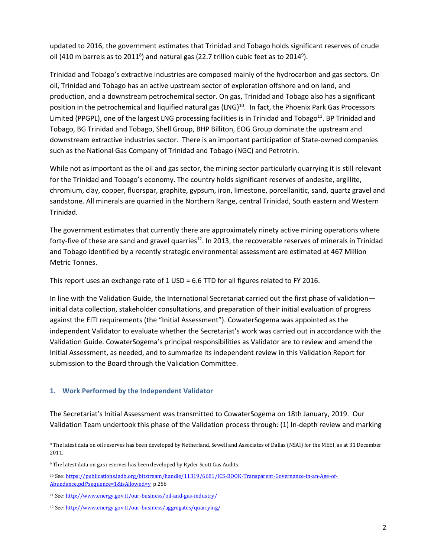updated to 2016, the government estimates that Trinidad and Tobago holds significant reserves of crude oil (410 m barrels as to 2011<sup>8</sup>) and natural gas (22.7 trillion cubic feet as to 2014<sup>9</sup>).

Trinidad and Tobago's extractive industries are composed mainly of the hydrocarbon and gas sectors. On oil, Trinidad and Tobago has an active upstream sector of exploration offshore and on land, and production, and a downstream petrochemical sector. On gas, Trinidad and Tobago also has a significant position in the petrochemical and liquified natural gas (LNG)<sup>10</sup>. In fact, the Phoenix Park Gas Processors Limited (PPGPL), one of the largest LNG processing facilities is in Trinidad and Tobago<sup>11</sup>. BP Trinidad and Tobago, BG Trinidad and Tobago, Shell Group, BHP Billiton, EOG Group dominate the upstream and downstream extractive industries sector. There is an important participation of State-owned companies such as the National Gas Company of Trinidad and Tobago (NGC) and Petrotrin.

While not as important as the oil and gas sector, the mining sector particularly quarrying it is still relevant for the Trinidad and Tobago's economy. The country holds significant reserves of andesite, argillite, chromium, clay, copper, fluorspar, graphite, gypsum, iron, limestone, porcellanitic, sand, quartz gravel and sandstone. All minerals are quarried in the Northern Range, central Trinidad, South eastern and Western Trinidad.

The government estimates that currently there are approximately ninety active mining operations where forty-five of these are sand and gravel quarries<sup>12</sup>. In 2013, the recoverable reserves of minerals in Trinidad and Tobago identified by a recently strategic environmental assessment are estimated at 467 Million Metric Tonnes.

This report uses an exchange rate of 1 USD = 6.6 TTD for all figures related to FY 2016.

In line with the Validation Guide, the International Secretariat carried out the first phase of validation initial data collection, stakeholder consultations, and preparation of their initial evaluation of progress against the EITI requirements (the "Initial Assessment"). CowaterSogema was appointed as the independent Validator to evaluate whether the Secretariat's work was carried out in accordance with the Validation Guide. CowaterSogema's principal responsibilities as Validator are to review and amend the Initial Assessment, as needed, and to summarize its independent review in this Validation Report for submission to the Board through the Validation Committee.

## **1. Work Performed by the Independent Validator**

The Secretariat's Initial Assessment was transmitted to CowaterSogema on 18th January, 2019. Our Validation Team undertook this phase of the Validation process through: (1) In-depth review and marking

 $\overline{a}$ <sup>8</sup> The latest data on oil reserves has been developed by Netherland, Sewell and Associates of Dallas (NSAI) for the MEEI, as at 31 December 2011.

<sup>&</sup>lt;sup>9</sup> The latest data on gas reserves has been developed by Ryder Scott Gas Audits.

<sup>10</sup> See[: https://publications.iadb.org/bitstream/handle/11319/6681/ICS-BOOK-Transparent-Governance-in-an-Age-of-](https://publications.iadb.org/bitstream/handle/11319/6681/ICS-BOOK-Transparent-Governance-in-an-Age-of-Abundance.pdf?sequence=1&isAllowed=y)[Abundance.pdf?sequence=1&isAllowed=y](https://publications.iadb.org/bitstream/handle/11319/6681/ICS-BOOK-Transparent-Governance-in-an-Age-of-Abundance.pdf?sequence=1&isAllowed=y) p.256

<sup>11</sup> See[: http://www.energy.gov.tt/our-business/oil-and-gas-industry/](http://www.energy.gov.tt/our-business/oil-and-gas-industry/)

<sup>12</sup> See[: http://www.energy.gov.tt/our-business/aggregates/quarrying/](http://www.energy.gov.tt/our-business/aggregates/quarrying/)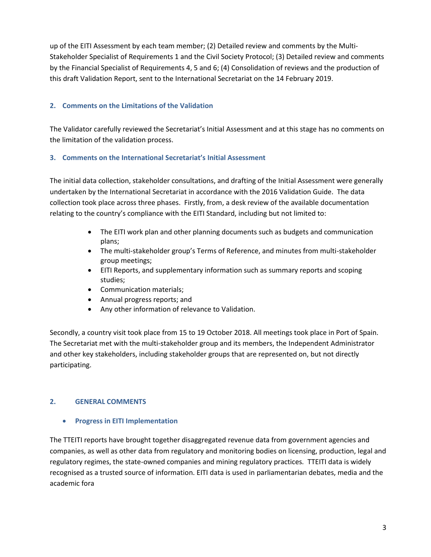up of the EITI Assessment by each team member; (2) Detailed review and comments by the Multi-Stakeholder Specialist of Requirements 1 and the Civil Society Protocol; (3) Detailed review and comments by the Financial Specialist of Requirements 4, 5 and 6; (4) Consolidation of reviews and the production of this draft Validation Report, sent to the International Secretariat on the 14 February 2019.

## **2. Comments on the Limitations of the Validation**

The Validator carefully reviewed the Secretariat's Initial Assessment and at this stage has no comments on the limitation of the validation process.

## **3. Comments on the International Secretariat's Initial Assessment**

The initial data collection, stakeholder consultations, and drafting of the Initial Assessment were generally undertaken by the International Secretariat in accordance with the 2016 Validation Guide. The data collection took place across three phases. Firstly, from, a desk review of the available documentation relating to the country's compliance with the EITI Standard, including but not limited to:

- The EITI work plan and other planning documents such as budgets and communication plans;
- The multi-stakeholder group's Terms of Reference, and minutes from multi-stakeholder group meetings;
- EITI Reports, and supplementary information such as summary reports and scoping studies;
- Communication materials;
- Annual progress reports; and
- Any other information of relevance to Validation.

Secondly, a country visit took place from 15 to 19 October 2018. All meetings took place in Port of Spain. The Secretariat met with the multi-stakeholder group and its members, the Independent Administrator and other key stakeholders, including stakeholder groups that are represented on, but not directly participating.

## **2. GENERAL COMMENTS**

## • **Progress in EITI Implementation**

The TTEITI reports have brought together disaggregated revenue data from government agencies and companies, as well as other data from regulatory and monitoring bodies on licensing, production, legal and regulatory regimes, the state-owned companies and mining regulatory practices. TTEITI data is widely recognised as a trusted source of information. EITI data is used in parliamentarian debates, media and the academic fora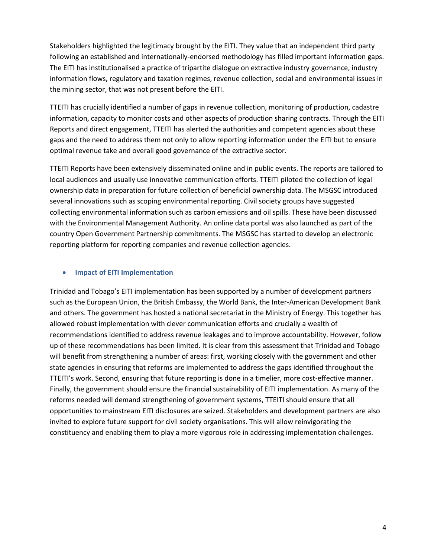Stakeholders highlighted the legitimacy brought by the EITI. They value that an independent third party following an established and internationally-endorsed methodology has filled important information gaps. The EITI has institutionalised a practice of tripartite dialogue on extractive industry governance, industry information flows, regulatory and taxation regimes, revenue collection, social and environmental issues in the mining sector, that was not present before the EITI.

TTEITI has crucially identified a number of gaps in revenue collection, monitoring of production, cadastre information, capacity to monitor costs and other aspects of production sharing contracts. Through the EITI Reports and direct engagement, TTEITI has alerted the authorities and competent agencies about these gaps and the need to address them not only to allow reporting information under the EITI but to ensure optimal revenue take and overall good governance of the extractive sector.

TTEITI Reports have been extensively disseminated online and in public events. The reports are tailored to local audiences and usually use innovative communication efforts. TTEITI piloted the collection of legal ownership data in preparation for future collection of beneficial ownership data. The MSGSC introduced several innovations such as scoping environmental reporting. Civil society groups have suggested collecting environmental information such as carbon emissions and oil spills. These have been discussed with the Environmental Management Authority. An online data portal was also launched as part of the country Open Government Partnership commitments. The MSGSC has started to develop an electronic reporting platform for reporting companies and revenue collection agencies.

#### • **Impact of EITI Implementation**

Trinidad and Tobago's EITI implementation has been supported by a number of development partners such as the European Union, the British Embassy, the World Bank, the Inter-American Development Bank and others. The government has hosted a national secretariat in the Ministry of Energy. This together has allowed robust implementation with clever communication efforts and crucially a wealth of recommendations identified to address revenue leakages and to improve accountability. However, follow up of these recommendations has been limited. It is clear from this assessment that Trinidad and Tobago will benefit from strengthening a number of areas: first, working closely with the government and other state agencies in ensuring that reforms are implemented to address the gaps identified throughout the TTEITI's work. Second, ensuring that future reporting is done in a timelier, more cost-effective manner. Finally, the government should ensure the financial sustainability of EITI implementation. As many of the reforms needed will demand strengthening of government systems, TTEITI should ensure that all opportunities to mainstream EITI disclosures are seized. Stakeholders and development partners are also invited to explore future support for civil society organisations. This will allow reinvigorating the constituency and enabling them to play a more vigorous role in addressing implementation challenges.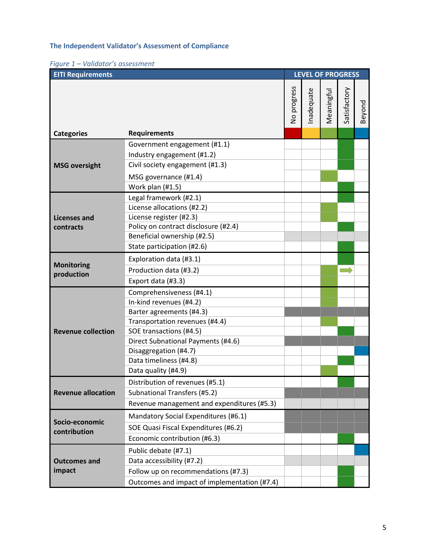## **The Independent Validator's Assessment of Compliance**

|  |  |  | Figure 1 – Validator's assessment |
|--|--|--|-----------------------------------|
|--|--|--|-----------------------------------|

| <b>EITI Requirements</b>         |                                                                                                                                                                                                                                                              |                           | <b>LEVEL OF PROGRESS</b> |            |              |        |  |
|----------------------------------|--------------------------------------------------------------------------------------------------------------------------------------------------------------------------------------------------------------------------------------------------------------|---------------------------|--------------------------|------------|--------------|--------|--|
|                                  |                                                                                                                                                                                                                                                              | progress<br>$\frac{1}{2}$ | nadequate                | Meaningful | Satisfactory | Beyond |  |
| <b>Categories</b>                | <b>Requirements</b>                                                                                                                                                                                                                                          |                           |                          |            |              |        |  |
| <b>MSG oversight</b>             | Government engagement (#1.1)<br>Industry engagement (#1.2)<br>Civil society engagement (#1.3)<br>MSG governance (#1.4)<br>Work plan (#1.5)                                                                                                                   |                           |                          |            |              |        |  |
| <b>Licenses and</b><br>contracts | Legal framework (#2.1)<br>License allocations (#2.2)<br>License register (#2.3)<br>Policy on contract disclosure (#2.4)<br>Beneficial ownership (#2.5)<br>State participation (#2.6)                                                                         |                           |                          |            |              |        |  |
| <b>Monitoring</b><br>production  | Exploration data (#3.1)<br>Production data (#3.2)<br>Export data (#3.3)                                                                                                                                                                                      |                           |                          |            |              |        |  |
| <b>Revenue collection</b>        | Comprehensiveness (#4.1)<br>In-kind revenues (#4.2)<br>Barter agreements (#4.3)<br>Transportation revenues (#4.4)<br>SOE transactions (#4.5)<br>Direct Subnational Payments (#4.6)<br>Disaggregation (#4.7)<br>Data timeliness (#4.8)<br>Data quality (#4.9) |                           |                          |            |              |        |  |
| <b>Revenue allocation</b>        | Distribution of revenues (#5.1)<br>Subnational Transfers (#5.2)<br>Revenue management and expenditures (#5.3)                                                                                                                                                |                           |                          |            |              |        |  |
| Socio-economic<br>contribution   | Mandatory Social Expenditures (#6.1)<br>SOE Quasi Fiscal Expenditures (#6.2)<br>Economic contribution (#6.3)                                                                                                                                                 |                           |                          |            |              |        |  |
| <b>Outcomes and</b><br>impact    | Public debate (#7.1)<br>Data accessibility (#7.2)<br>Follow up on recommendations (#7.3)<br>Outcomes and impact of implementation (#7.4)                                                                                                                     |                           |                          |            |              |        |  |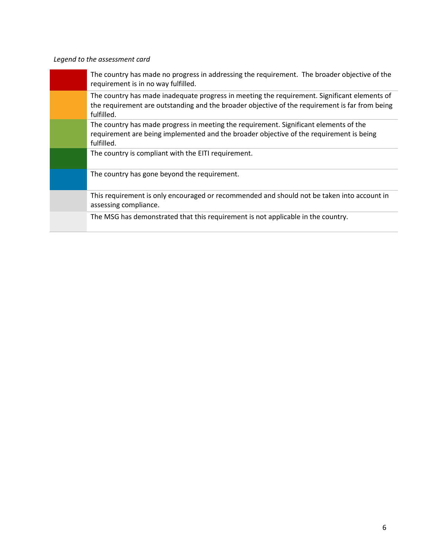# *Legend to the assessment card*

| The country has made no progress in addressing the requirement. The broader objective of the<br>requirement is in no way fulfilled.                                                                          |
|--------------------------------------------------------------------------------------------------------------------------------------------------------------------------------------------------------------|
| The country has made inadequate progress in meeting the requirement. Significant elements of<br>the requirement are outstanding and the broader objective of the requirement is far from being<br>fulfilled. |
| The country has made progress in meeting the requirement. Significant elements of the<br>requirement are being implemented and the broader objective of the requirement is being<br>fulfilled.               |
| The country is compliant with the EITI requirement.                                                                                                                                                          |
| The country has gone beyond the requirement.                                                                                                                                                                 |
| This requirement is only encouraged or recommended and should not be taken into account in<br>assessing compliance.                                                                                          |
| The MSG has demonstrated that this requirement is not applicable in the country.                                                                                                                             |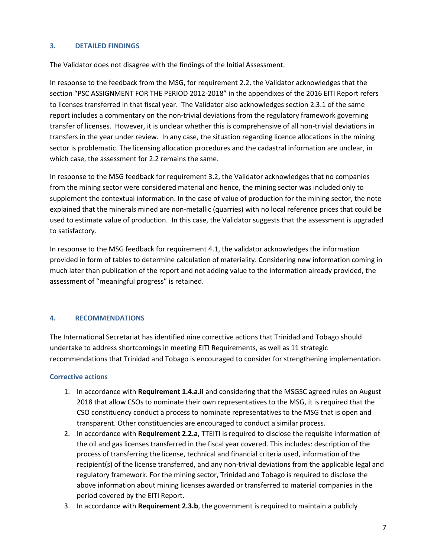#### **3. DETAILED FINDINGS**

The Validator does not disagree with the findings of the Initial Assessment.

In response to the feedback from the MSG, for requirement 2.2, the Validator acknowledges that the section "PSC ASSIGNMENT FOR THE PERIOD 2012-2018" in the appendixes of the 2016 EITI Report refers to licenses transferred in that fiscal year. The Validator also acknowledges section 2.3.1 of the same report includes a commentary on the non-trivial deviations from the regulatory framework governing transfer of licenses. However, it is unclear whether this is comprehensive of all non-trivial deviations in transfers in the year under review. In any case, the situation regarding licence allocations in the mining sector is problematic. The licensing allocation procedures and the cadastral information are unclear, in which case, the assessment for 2.2 remains the same.

In response to the MSG feedback for requirement 3.2, the Validator acknowledges that no companies from the mining sector were considered material and hence, the mining sector was included only to supplement the contextual information. In the case of value of production for the mining sector, the note explained that the minerals mined are non-metallic (quarries) with no local reference prices that could be used to estimate value of production. In this case, the Validator suggests that the assessment is upgraded to satisfactory.

In response to the MSG feedback for requirement 4.1, the validator acknowledges the information provided in form of tables to determine calculation of materiality. Considering new information coming in much later than publication of the report and not adding value to the information already provided, the assessment of "meaningful progress" is retained.

## **4. RECOMMENDATIONS**

The International Secretariat has identified nine corrective actions that Trinidad and Tobago should undertake to address shortcomings in meeting EITI Requirements, as well as 11 strategic recommendations that Trinidad and Tobago is encouraged to consider for strengthening implementation.

## **Corrective actions**

- 1. In accordance with **Requirement 1.4.a.ii** and considering that the MSGSC agreed rules on August 2018 that allow CSOs to nominate their own representatives to the MSG, it is required that the CSO constituency conduct a process to nominate representatives to the MSG that is open and transparent. Other constituencies are encouraged to conduct a similar process.
- 2. In accordance with **Requirement 2.2.a**, TTEITI is required to disclose the requisite information of the oil and gas licenses transferred in the fiscal year covered. This includes: description of the process of transferring the license, technical and financial criteria used, information of the recipient(s) of the license transferred, and any non-trivial deviations from the applicable legal and regulatory framework. For the mining sector, Trinidad and Tobago is required to disclose the above information about mining licenses awarded or transferred to material companies in the period covered by the EITI Report.
- 3. In accordance with **Requirement 2.3.b**, the government is required to maintain a publicly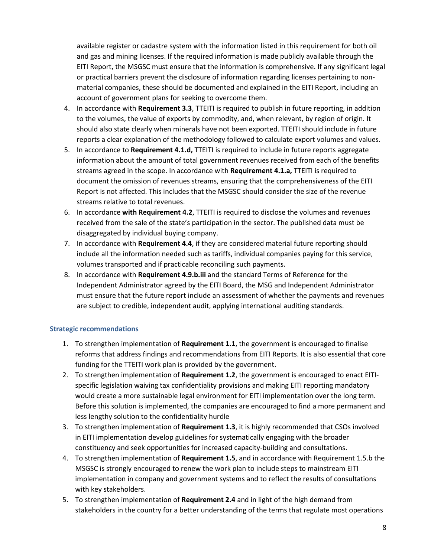available register or cadastre system with the information listed in this requirement for both oil and gas and mining licenses. If the required information is made publicly available through the EITI Report, the MSGSC must ensure that the information is comprehensive. If any significant legal or practical barriers prevent the disclosure of information regarding licenses pertaining to nonmaterial companies, these should be documented and explained in the EITI Report, including an account of government plans for seeking to overcome them.

- 4. In accordance with **Requirement 3.3**, TTEITI is required to publish in future reporting, in addition to the volumes, the value of exports by commodity, and, when relevant, by region of origin. It should also state clearly when minerals have not been exported. TTEITI should include in future reports a clear explanation of the methodology followed to calculate export volumes and values.
- 5. In accordance to **Requirement 4.1.d,** TTEITI is required to include in future reports aggregate information about the amount of total government revenues received from each of the benefits streams agreed in the scope. In accordance with **Requirement 4.1.a,** TTEITI is required to document the omission of revenues streams, ensuring that the comprehensiveness of the EITI Report is not affected. This includes that the MSGSC should consider the size of the revenue streams relative to total revenues.
- 6. In accordance **with Requirement 4.2**, TTEITI is required to disclose the volumes and revenues received from the sale of the state's participation in the sector. The published data must be disaggregated by individual buying company.
- 7. In accordance with **Requirement 4.4**, if they are considered material future reporting should include all the information needed such as tariffs, individual companies paying for this service, volumes transported and if practicable reconciling such payments.
- 8. In accordance with **Requirement 4.9.b.iii** and the standard Terms of Reference for the Independent Administrator agreed by the EITI Board, the MSG and Independent Administrator must ensure that the future report include an assessment of whether the payments and revenues are subject to credible, independent audit, applying international auditing standards.

## **Strategic recommendations**

- 1. To strengthen implementation of **Requirement 1.1**, the government is encouraged to finalise reforms that address findings and recommendations from EITI Reports. It is also essential that core funding for the TTEITI work plan is provided by the government.
- 2. To strengthen implementation of **Requirement 1.2**, the government is encouraged to enact EITIspecific legislation waiving tax confidentiality provisions and making EITI reporting mandatory would create a more sustainable legal environment for EITI implementation over the long term. Before this solution is implemented, the companies are encouraged to find a more permanent and less lengthy solution to the confidentiality hurdle
- 3. To strengthen implementation of **Requirement 1.3**, it is highly recommended that CSOs involved in EITI implementation develop guidelines for systematically engaging with the broader constituency and seek opportunities for increased capacity-building and consultations.
- 4. To strengthen implementation of **Requirement 1.5**, and in accordance with Requirement 1.5.b the MSGSC is strongly encouraged to renew the work plan to include steps to mainstream EITI implementation in company and government systems and to reflect the results of consultations with key stakeholders.
- 5. To strengthen implementation of **Requirement 2.4** and in light of the high demand from stakeholders in the country for a better understanding of the terms that regulate most operations